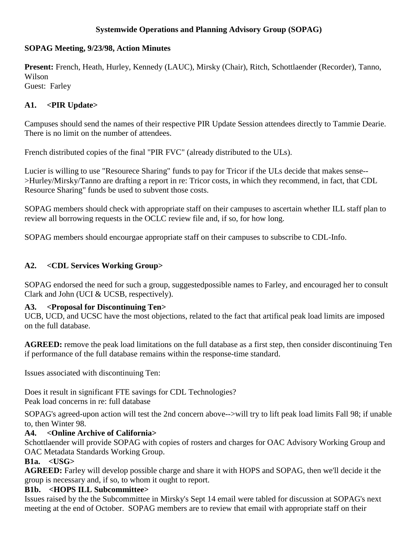# **Systemwide Operations and Planning Advisory Group (SOPAG)**

# **SOPAG Meeting, 9/23/98, Action Minutes**

**Present:** French, Heath, Hurley, Kennedy (LAUC), Mirsky (Chair), Ritch, Schottlaender (Recorder), Tanno, Wilson Guest: Farley

# **A1. <PIR Update>**

Campuses should send the names of their respective PIR Update Session attendees directly to Tammie Dearie. There is no limit on the number of attendees.

French distributed copies of the final "PIR FVC" (already distributed to the ULs).

Lucier is willing to use "Resourece Sharing" funds to pay for Tricor if the ULs decide that makes sense-- >Hurley/Mirsky/Tanno are drafting a report in re: Tricor costs, in which they recommend, in fact, that CDL Resource Sharing" funds be used to subvent those costs.

SOPAG members should check with appropriate staff on their campuses to ascertain whether ILL staff plan to review all borrowing requests in the OCLC review file and, if so, for how long.

SOPAG members should encourgae appropriate staff on their campuses to subscribe to CDL-Info.

## **A2. <CDL Services Working Group>**

SOPAG endorsed the need for such a group, suggestedpossible names to Farley, and encouraged her to consult Clark and John (UCI & UCSB, respectively).

### **A3. <Proposal for Discontinuing Ten>**

UCB, UCD, and UCSC have the most objections, related to the fact that artifical peak load limits are imposed on the full database.

**AGREED:** remove the peak load limitations on the full database as a first step, then consider discontinuing Ten if performance of the full database remains within the response-time standard.

Issues associated with discontinuing Ten:

Does it result in significant FTE savings for CDL Technologies? Peak load concerns in re: full database

SOPAG's agreed-upon action will test the 2nd concern above-->will try to lift peak load limits Fall 98; if unable to, then Winter 98.

# **A4. <Online Archive of California>**

Schottlaender will provide SOPAG with copies of rosters and charges for OAC Advisory Working Group and OAC Metadata Standards Working Group.

### **B1a. <USG>**

**AGREED:** Farley will develop possible charge and share it with HOPS and SOPAG, then we'll decide it the group is necessary and, if so, to whom it ought to report.

### **B1b. <HOPS ILL Subcommittee>**

Issues raised by the the Subcommittee in Mirsky's Sept 14 email were tabled for discussion at SOPAG's next meeting at the end of October. SOPAG members are to review that email with appropriate staff on their